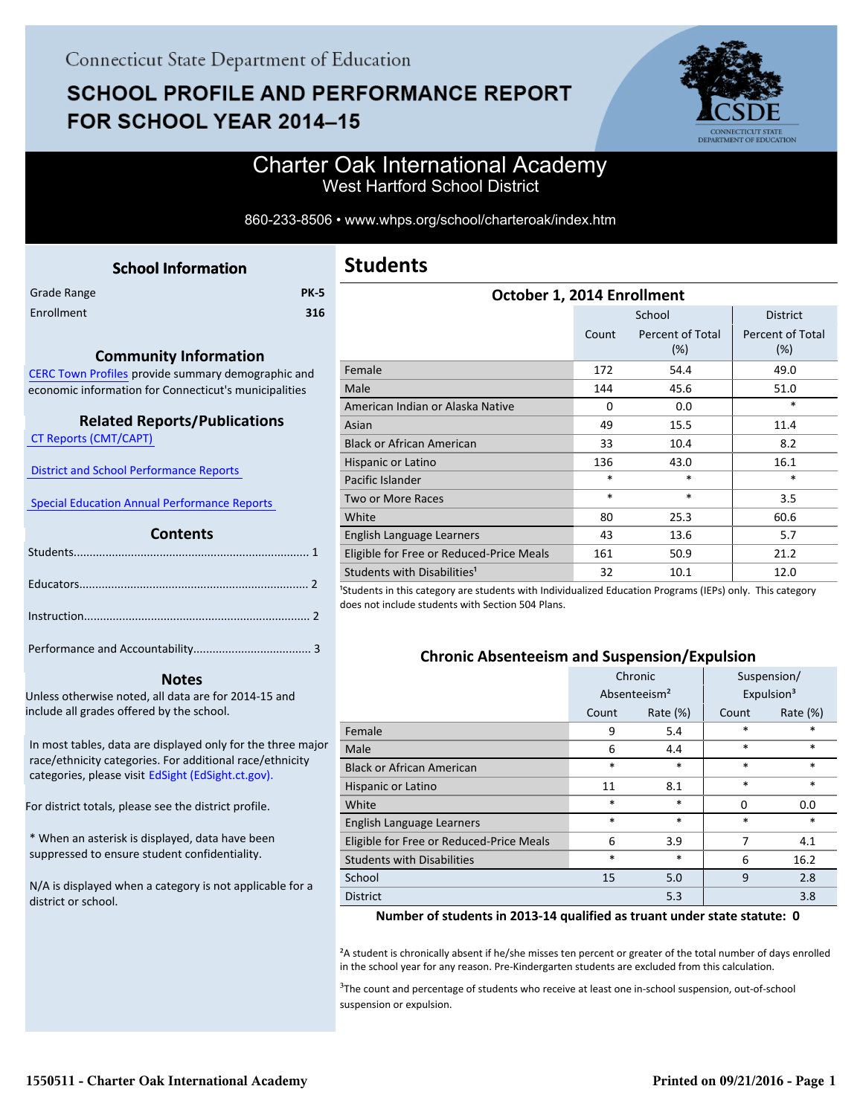# **SCHOOL PROFILE AND PERFORMANCE REPORT** FOR SCHOOL YEAR 2014-15



### Charter Oak International Academy West Hartford School District

860-233-8506 • www.whps.org/school/charteroak/index.htm

<span id="page-0-0"></span>

|             | <b>School Information</b> |             |
|-------------|---------------------------|-------------|
| Grade Range |                           | <b>PK-5</b> |
| Enrollment  |                           | 316         |
|             |                           |             |

### **Community Information**

[CERC Town Profiles provide summary demographic and](http://www.cerc.com/townprofiles/) economic information for Connecticut's municipalities

#### **Related Reports/Publications**

 [CT Reports \(CMT/CAPT\)](http://ctreports.com/) 

 [District and School Performance Reports](http://www.csde.state.ct.us/public/performancereports/reports.asp) 

 [Special Education Annual Performance Reports](http://edsight.ct.gov/SASPortal/main.do) 

#### **Contents**

 **Notes**

Unless otherwise noted, all data are for 2014-15 and include all grades offered by the school.

[In most tables, data are displayed only for the three major](http://edsight.ct.gov) race/ethnicity categories. For additional race/ethnicity categories, please visit EdSight (EdSight.ct.gov).

For district totals, please see the district profile.

\* When an asterisk is displayed, data have been suppressed to ensure student confidentiality.

N/A is displayed when a category is not applicable for a district or school.

| October 1, 2014 Enrollment               |        |                         |                                |  |  |  |
|------------------------------------------|--------|-------------------------|--------------------------------|--|--|--|
|                                          |        | School                  | <b>District</b>                |  |  |  |
|                                          | Count  | Percent of Total<br>(%) | <b>Percent of Total</b><br>(%) |  |  |  |
| Female                                   | 172    | 54.4                    | 49.0                           |  |  |  |
| Male                                     | 144    | 45.6                    | 51.0                           |  |  |  |
| American Indian or Alaska Native         | 0      | 0.0                     | *                              |  |  |  |
| Asian                                    | 49     | 15.5                    | 11.4                           |  |  |  |
| <b>Black or African American</b>         | 33     | 10.4                    | 8.2                            |  |  |  |
| Hispanic or Latino                       | 136    | 43.0                    | 16.1                           |  |  |  |
| Pacific Islander                         | $\ast$ | $\ast$                  | *                              |  |  |  |
| Two or More Races                        | $\ast$ | $\ast$                  | 3.5                            |  |  |  |
| White                                    | 80     | 25.3                    | 60.6                           |  |  |  |
| English Language Learners                | 43     | 13.6                    | 5.7                            |  |  |  |
| Eligible for Free or Reduced-Price Meals | 161    | 50.9                    | 21.2                           |  |  |  |
| Students with Disabilities <sup>1</sup>  | 32     | 10.1                    | 12.0                           |  |  |  |

<sup>1</sup>Students in this category are students with Individualized Education Programs (IEPs) only. This category does not include students with Section 504 Plans.

### **Chronic Absenteeism and Suspension/Expulsion**

|                                          | Chronic                  |             | Suspension/ |                        |
|------------------------------------------|--------------------------|-------------|-------------|------------------------|
|                                          | Absenteeism <sup>2</sup> |             |             | Expulsion <sup>3</sup> |
|                                          | Count                    | Rate $(\%)$ | Count       | Rate $(\%)$            |
| Female                                   | 9                        | 5.4         | *           | *                      |
| Male                                     | 6                        | 4.4         | $\ast$      | $\ast$                 |
| <b>Black or African American</b>         | $\ast$                   | *           | $\ast$      | $\ast$                 |
| Hispanic or Latino                       | 11                       | 8.1         | *           | $\ast$                 |
| White                                    | $\ast$                   | $\ast$      | $\Omega$    | 0.0                    |
| English Language Learners                | $\ast$                   | $\ast$      | *           | $\ast$                 |
| Eligible for Free or Reduced-Price Meals | 6                        | 3.9         | 7           | 4.1                    |
| <b>Students with Disabilities</b>        | $\ast$                   | $\ast$      | 6           | 16.2                   |
| School                                   | 15                       | 5.0         | 9           | 2.8                    |
| <b>District</b>                          |                          | 5.3         |             | 3.8                    |

#### **Number of students in 2013-14 qualified as truant under state statute: 0**

²A student is chronically absent if he/she misses ten percent or greater of the total number of days enrolled in the school year for any reason. Pre-Kindergarten students are excluded from this calculation.

<sup>3</sup>The count and percentage of students who receive at least one in-school suspension, out-of-school suspension or expulsion.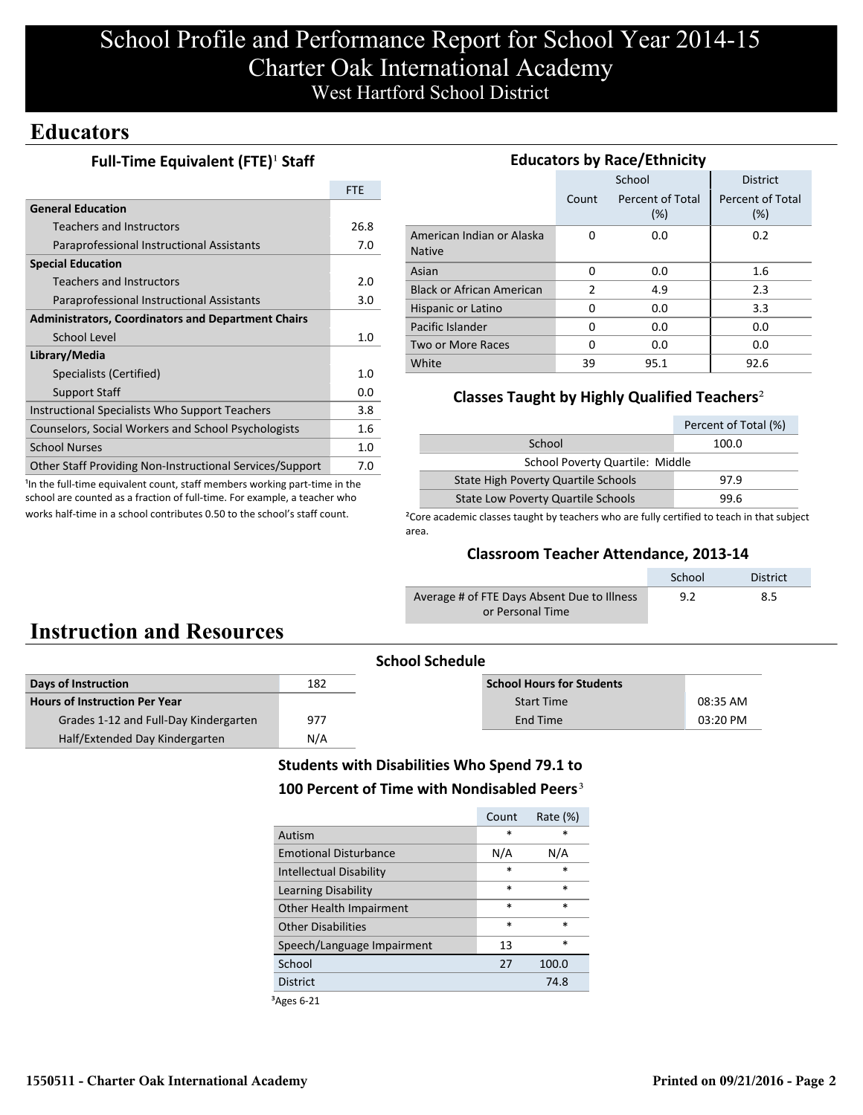## School Profile and Performance Report for School Year 2014-15 Charter Oak International Academy West Hartford School District

### **Educators**

### **Full-Time Equivalent (FTE)<sup>1</sup> Staff**

|                                                           | <b>FTF</b>  |
|-----------------------------------------------------------|-------------|
| <b>General Education</b>                                  |             |
| <b>Teachers and Instructors</b>                           | 26.8        |
| Paraprofessional Instructional Assistants                 | 7.0         |
| <b>Special Education</b>                                  |             |
| <b>Teachers and Instructors</b>                           | 2.0         |
| Paraprofessional Instructional Assistants                 | 3.0         |
| <b>Administrators, Coordinators and Department Chairs</b> |             |
| School Level                                              |             |
| Library/Media                                             |             |
| Specialists (Certified)                                   | 1. $\Omega$ |
| <b>Support Staff</b>                                      | 0.0         |
| Instructional Specialists Who Support Teachers            | 3.8         |
| Counselors, Social Workers and School Psychologists       |             |
| <b>School Nurses</b>                                      | 1.0         |
| Other Staff Providing Non-Instructional Services/Support  | 7.0         |

<sup>1</sup>In the full-time equivalent count, staff members working part-time in the school are counted as a fraction of full-time. For example, a teacher who works half-time in a school contributes 0.50 to the school's staff count.

| <b>Educators by Race/Ethnicity</b>         |       |                         |                         |  |  |  |
|--------------------------------------------|-------|-------------------------|-------------------------|--|--|--|
|                                            |       | School                  | <b>District</b>         |  |  |  |
|                                            | Count | Percent of Total<br>(%) | Percent of Total<br>(%) |  |  |  |
| American Indian or Alaska<br><b>Native</b> | O     | 0.0                     | 0.2                     |  |  |  |
| Asian                                      | 0     | 0.0                     | 1.6                     |  |  |  |
| <b>Black or African American</b>           | 2     | 4.9                     | 2.3                     |  |  |  |
| Hispanic or Latino                         | 0     | 0.0                     | 3.3                     |  |  |  |
| Pacific Islander                           | 0     | 0.0                     | 0.0                     |  |  |  |
| Two or More Races                          | O     | 0.0                     | 0.0                     |  |  |  |
| White                                      | 39    | 95.1                    | 92.6                    |  |  |  |

### **Classes Taught by Highly Qualified Teachers**²

|                                           | Percent of Total (%) |  |  |  |
|-------------------------------------------|----------------------|--|--|--|
| School                                    | 100.0                |  |  |  |
| School Poverty Quartile: Middle           |                      |  |  |  |
| State High Poverty Quartile Schools       | 97.9                 |  |  |  |
| <b>State Low Poverty Quartile Schools</b> | 99.6                 |  |  |  |

<sup>2</sup>Core academic classes taught by teachers who are fully certified to teach in that subject area.

### **Classroom Teacher Attendance, 2013-14**

|                                             | School | <b>District</b> |
|---------------------------------------------|--------|-----------------|
| Average # of FTE Days Absent Due to Illness | 9.2    | 8.5             |
| or Personal Time                            |        |                 |

# **Instruction and Resources**

| <b>School Schedule</b>                |     |                                  |          |  |
|---------------------------------------|-----|----------------------------------|----------|--|
| Days of Instruction                   | 182 | <b>School Hours for Students</b> |          |  |
| <b>Hours of Instruction Per Year</b>  |     | <b>Start Time</b>                | 08:35 AM |  |
| Grades 1-12 and Full-Day Kindergarten | 977 | End Time                         | 03:20 PM |  |
| Half/Extended Day Kindergarten        | N/A |                                  |          |  |

### **Students with Disabilities Who Spend 79.1 to** 100 Percent of Time with Nondisabled Peers<sup>3</sup>

|                              | Count   | Rate $(\%)$ |
|------------------------------|---------|-------------|
| Autism                       | $\ast$  | $\ast$      |
| <b>Emotional Disturbance</b> | N/A     | N/A         |
| Intellectual Disability      | $\star$ | $\star$     |
| Learning Disability          | $\ast$  | $\ast$      |
| Other Health Impairment      | $\ast$  | $\ast$      |
| <b>Other Disabilities</b>    | $\ast$  | $\ast$      |
| Speech/Language Impairment   | 13      | *           |
| School                       | 27      | 100.0       |
| <b>District</b>              |         | 74.8        |

³Ages 6-21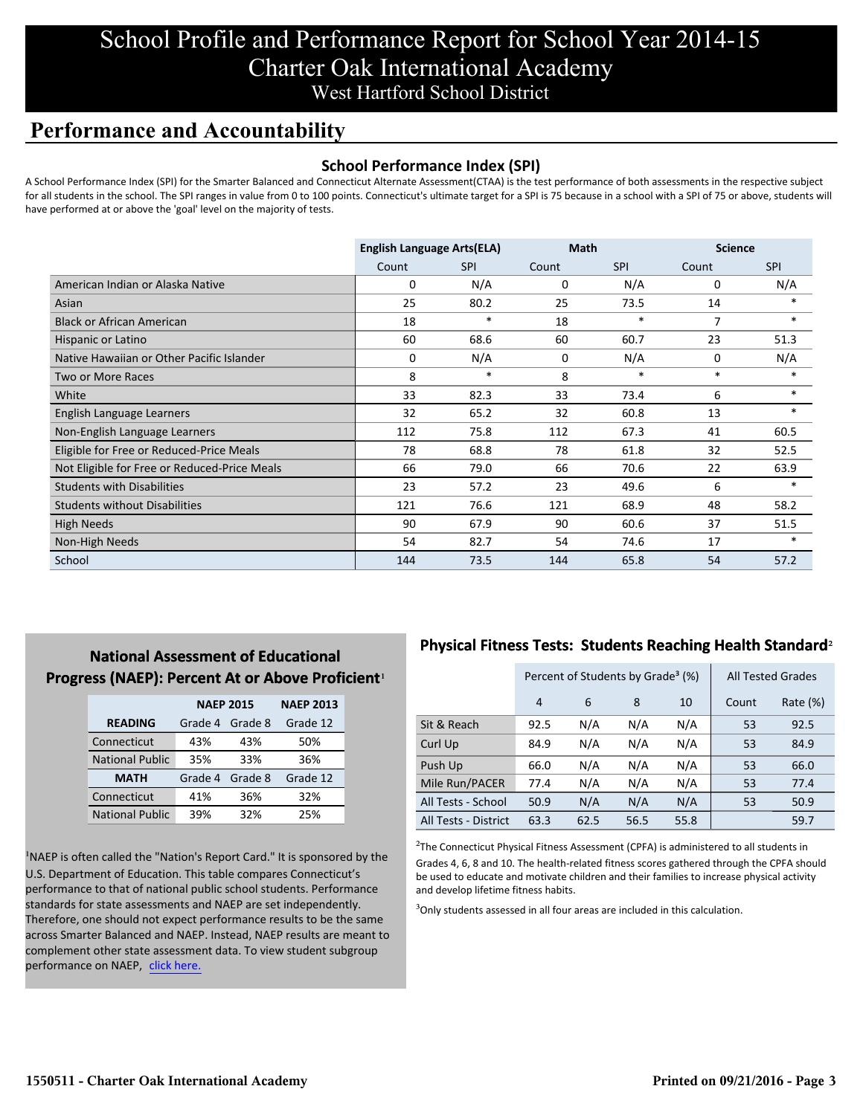# School Profile and Performance Report for School Year 2014-15 Charter Oak International Academy West Hartford School District

## **Performance and Accountability**

### **School Performance Index (SPI)**

A School Performance Index (SPI) for the Smarter Balanced and Connecticut Alternate Assessment(CTAA) is the test performance of both assessments in the respective subject for all students in the school. The SPI ranges in value from 0 to 100 points. Connecticut's ultimate target for a SPI is 75 because in a school with a SPI of 75 or above, students will have performed at or above the 'goal' level on the majority of tests.

|                                              | <b>English Language Arts(ELA)</b> |            | <b>Math</b> |            | <b>Science</b> |            |
|----------------------------------------------|-----------------------------------|------------|-------------|------------|----------------|------------|
|                                              | Count                             | <b>SPI</b> | Count       | <b>SPI</b> | Count          | <b>SPI</b> |
| American Indian or Alaska Native             | 0                                 | N/A        | 0           | N/A        | 0              | N/A        |
| Asian                                        | 25                                | 80.2       | 25          | 73.5       | 14             | $\ast$     |
| <b>Black or African American</b>             | 18                                | $\ast$     | 18          | $\ast$     | 7              | $\ast$     |
| Hispanic or Latino                           | 60                                | 68.6       | 60          | 60.7       | 23             | 51.3       |
| Native Hawaiian or Other Pacific Islander    | 0                                 | N/A        | 0           | N/A        | 0              | N/A        |
| Two or More Races                            | 8                                 | $\ast$     | 8           | $\ast$     | $\ast$         | *          |
| White                                        | 33                                | 82.3       | 33          | 73.4       | 6              | $*$        |
| English Language Learners                    | 32                                | 65.2       | 32          | 60.8       | 13             | $\ast$     |
| Non-English Language Learners                | 112                               | 75.8       | 112         | 67.3       | 41             | 60.5       |
| Eligible for Free or Reduced-Price Meals     | 78                                | 68.8       | 78          | 61.8       | 32             | 52.5       |
| Not Eligible for Free or Reduced-Price Meals | 66                                | 79.0       | 66          | 70.6       | 22             | 63.9       |
| <b>Students with Disabilities</b>            | 23                                | 57.2       | 23          | 49.6       | 6              |            |
| <b>Students without Disabilities</b>         | 121                               | 76.6       | 121         | 68.9       | 48             | 58.2       |
| <b>High Needs</b>                            | 90                                | 67.9       | 90          | 60.6       | 37             | 51.5       |
| Non-High Needs                               | 54                                | 82.7       | 54          | 74.6       | 17             | $\ast$     |
| School                                       | 144                               | 73.5       | 144         | 65.8       | 54             | 57.2       |

### **National Assessment of Educational Progress (NAEP): Percent At or Above Proficient1**

|                        | <b>NAEP 2015</b> |         | <b>NAEP 2013</b> |  |
|------------------------|------------------|---------|------------------|--|
| <b>READING</b>         | Grade 4          | Grade 8 | Grade 12         |  |
| Connecticut            | 43%              | 43%     | 50%              |  |
| <b>National Public</b> | 35%              | 33%     | 36%              |  |
| <b>MATH</b>            | Grade 4          | Grade 8 | Grade 12         |  |
| Connecticut            | 41%              | 36%     | 32%              |  |
| <b>National Public</b> | 39%              | 32%     | 25%              |  |

<sup>1</sup>NAEP is often called the "Nation's Report Card." It is sponsored by the U.S. Department of Education. This table compares Connecticut's performance to that of national public school students. Performance standards for state assessments and NAEP are set independently. Therefore, one should not expect performance results to be the same across Smarter Balanced and NAEP. Instead, NAEP results are meant to complement other state assessment data. To view student subgroup performance on NAEP, click here.

### **Physical Fitness Tests: Students Reaching Health Standard**²

|                      | Percent of Students by Grade <sup>3</sup> (%) |      |      |      | <b>All Tested Grades</b> |             |
|----------------------|-----------------------------------------------|------|------|------|--------------------------|-------------|
|                      | 4                                             | 6    | 8    | 10   | Count                    | Rate $(\%)$ |
| Sit & Reach          | 92.5                                          | N/A  | N/A  | N/A  | 53                       | 92.5        |
| Curl Up              | 84.9                                          | N/A  | N/A  | N/A  | 53                       | 84.9        |
| Push Up              | 66.0                                          | N/A  | N/A  | N/A  | 53                       | 66.0        |
| Mile Run/PACER       | 77.4                                          | N/A  | N/A  | N/A  | 53                       | 77.4        |
| All Tests - School   | 50.9                                          | N/A  | N/A  | N/A  | 53                       | 50.9        |
| All Tests - District | 63.3                                          | 62.5 | 56.5 | 55.8 |                          | 59.7        |

 $2$ The Connecticut Physical Fitness Assessment (CPFA) is administered to all students in Grades 4, 6, 8 and 10. The health-related fitness scores gathered through the CPFA should be used to educate and motivate children and their families to increase physical activity and develop lifetime fitness habits.

<sup>3</sup>Only students assessed in all four areas are included in this calculation.